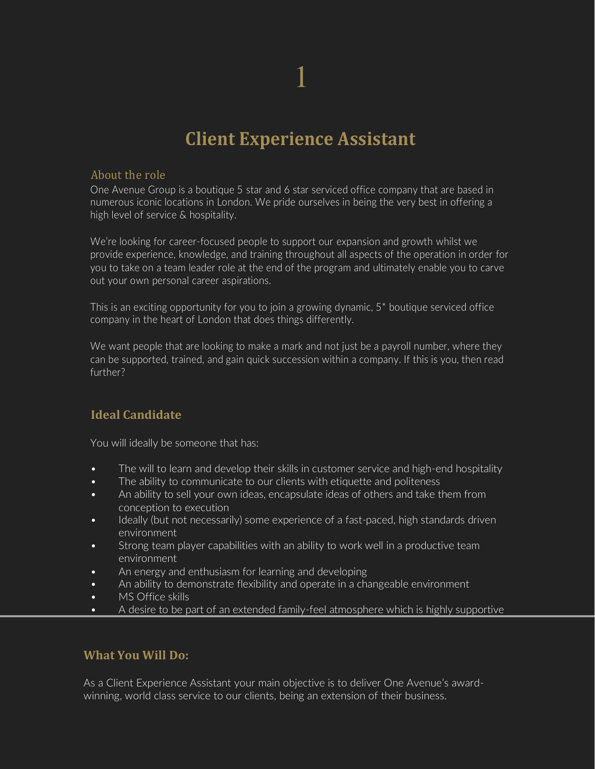## **Client Experience Assistant**

## About the role

One Avenue Group is a boutique 5 star and 6 star serviced office company that are based in numerous iconic locations in London. We pride ourselves in being the very best in offering a high level of service & hospitality.

We're looking for career-focused people to support our expansion and growth whilst we provide experience, knowledge, and training throughout all aspects of the operation in order for you to take on a team leader role at the end of the program and ultimately enable you to carve out your own personal career aspirations.

This is an exciting opportunity for you to join a growing dynamic, 5\* boutique serviced office company in the heart of London that does things differently.

We want people that are looking to make a mark and not just be a payroll number, where they can be supported, trained, and gain quick succession within a company. If this is you, then read further?

## **Ideal Candidate**

You will ideally be someone that has:

- The will to learn and develop their skills in customer service and high-end hospitality
- The ability to communicate to our clients with etiquette and politeness
- An ability to sell your own ideas, encapsulate ideas of others and take them from conception to execution
- Ideally (but not necessarily) some experience of a fast-paced, high standards driven environment
- Strong team player capabilities with an ability to work well in a productive team environment
- An energy and enthusiasm for learning and developing
- An ability to demonstrate flexibility and operate in a changeable environment
- MS Office skills
- A desire to be part of an extended family-feel atmosphere which is highly supportive

## **What You Will Do:**

As a Client Experience Assistant your main objective is to deliver One Avenue's awardwinning, world class service to our clients, being an extension of their business.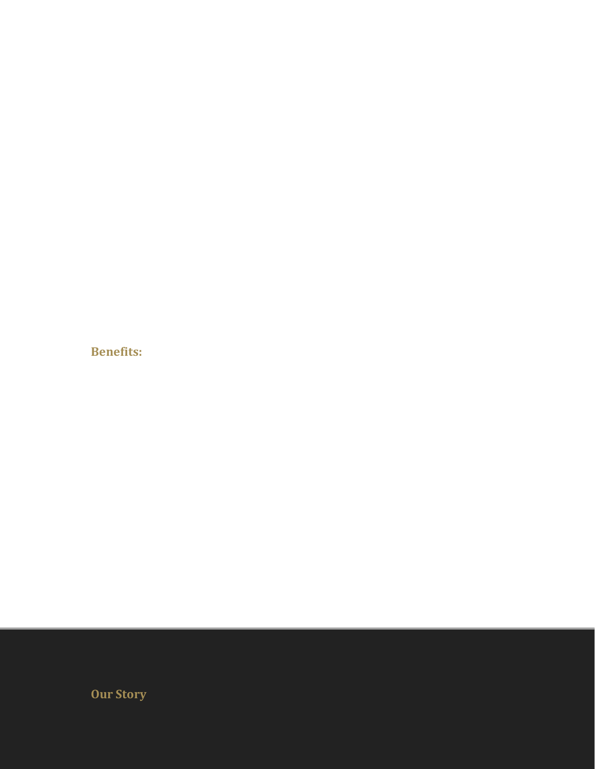**Benefits:**

**Our Story**